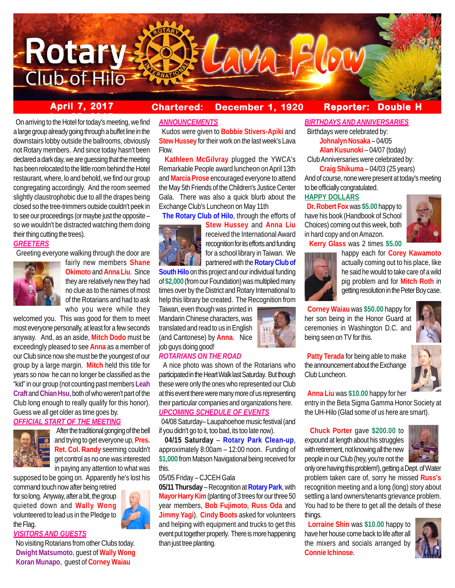

# **April 7, 2017 Chartered: December 1, 1920**

# **Reporter: Double H**

**be 2015** On arriving to the Hotel for today's meeting, we find a large group already going through a buffet line in the downstairs lobby outside the ballrooms, obviously not Rotary members. And since today hasn't been declared a dark day, we are guessing that the meeting has been relocated to the little room behind the Hotel restaurant, where, lo and behold, we find our group congregating accordingly. And the room seemed slightly claustrophobic due to all the drapes being closed so the tree-trimmers outside couldn't peek in to see our proceedings (or maybe just the opposite – so we wouldn't be distracted watching them doing their thing cutting the trees).

# *GREETERS*

Greeting everyone walking through the door are



fairly new members **Shane Okimoto** and **Anna Liu**. Since they are relatively new they had no clue as to the names of most of the Rotarians and had to ask who you were while they

welcomed you. This was good for them to meet most everyone personally, at least for a few seconds anyway. And, as an aside, **Mitch Dodo** must be exceedingly pleased to see **Anna** as a member of our Club since now she must be the youngest of our group by a large margin. **Mitch** held this title for years so now he can no longer be classified as the "kid" in our group (not counting past members **Leah Craft** and **Chian Hsu**, both of who weren't part of the Club long enough to really qualify for this honor). Guess we all get older as time goes by.

# *OFFICIAL START OF THE MEETING*



 After the traditional gonging of the bell and trying to get everyone up, **Pres. Ret. Col. Randy** seeming couldn't get control as no one was interested in paying any attention to what was

supposed to be going on. Apparently he's lost his command touch now after being retired

for so long. Anyway, after a bit, the group quieted down and **Wally Wong** volunteered to lead us in the Pledge to the Flag.

# *VISITORS AND GUESTS*

 No visiting Rotarians from other Clubs today. **Dwight Matsumoto**, guest of **Wally Wong Koran Munapo**, guest of **Corney Waiau**

### *ANNOUNCEMENTS*

 Kudos were given to **Bobbie Stivers-Apiki** and **Stew Hussey** for their work on the last week's Lava Flow.

 **Kathleen McGilvray** plugged the YWCA's Remarkable People award luncheon on April 13th and **Marcia Prose** encouraged everyone to attend the May 5th Friends of the Children's Justice Center Gala. There was also a quick blurb about the Exchange Club's Luncheon on May 11th

**The Rotary Club of Hilo**, through the efforts of



**Stew Hussey** and **Anna Liu** received the International Award recognition for its efforts and funding for a school library in Taiwan. We partnered with the **Rotary Club of**

**South Hilo** on this project and our individual funding of **\$2,000** (from our Foundation) was multiplied many times over by the District and Rotary International to help this library be created. The Recognition from

Taiwan, even though was printed in Mandarin Chinese characters, was translated and read to us in English (and Cantonese) by **Anna**. Nice job guys doing good!

# *ROTARIANS ON THE ROAD*

 A nice photo was shown of the Rotarians who participated in the Heart Walk last Saturday. But though these were only the ones who represented our Club at this event there were many more of us representing their particular companies and organizations here. *UPCOMING SCHEDULE OF EVENTS*

 04/08 Saturday– Laupahoehoe music festival (and if you didn't go to it, too bad, its too late now).

 **04/15 Saturday** – **Rotary Park Clean-up**, approximately 8:00am – 12:00 noon. Funding of **\$1,000** from Matson Navigational being received for this.

# 05/05 Friday – CJCEH Gala

**05/11 Thursday** – Recognition at **Rotary Park**, with **Mayor Harry Kim** (planting of 3 trees for our three 50 year members, **Bob Fujimoto**, **Russ Oda** and **Jimmy Yagi**). **Cindy Boots** asked for volunteers and helping with equipment and trucks to get this event put together properly. There is more happening than just tree planting.

*BIRTHDAYS AND ANNIVERSARIES*

 Birthdays were celebrated by: **Johnalyn Nosaka** – 04/05

**Alan Kusunoki** – 04/07 (today)

Club Anniversaries were celebrated by:

**Craig Shikuma** – 04/03 (25 years) And of course, none were present at today's meeting

to be officially congratulated.

# **HAPPY DOLLARS**

 **Dr. Robert Fox** was **\$5.00** happy to have his book (Handbook of School Choices) coming out this week, both in hard copy and on Amazon.



**Kerry Glass** was 2 times **\$5.00**



happy each for **Corey Kawamoto** actually coming out to his place, like he said he would to take care of a wild pig problem and for **Mitch Roth** in getting resolution in the Peter Boy case.

 **Corney Waiau** was **\$50.00** happy for her son being in the Honor Guard at ceremonies in Washington D.C. and being seen on TV for this.



 **Patty Terada** for being able to make the announcement about the Exchange Club Luncheon.

**Anna Liu** was **\$10.00** happy for her

entry in the Beta Sigma Gamma Honor Society at the UH-Hilo (Glad some of us here are smart).

 **Chuck Porter** gave **\$200.00** to expound at length about his struggles with retirement, not knowing all the new people in our Club (hey, you're not the



only one having this problem!), getting a Dept. of Water problem taken care of, sorry he missed **Russ's** recognition meeting and a long (long) story about settling a land owners/tenants grievance problem. You had to be there to get all the details of these things.

 **Lorraine Shin** was **\$10.00** happy to have her house come back to life after all the mixers and socials arranged by **Connie Ichinose**.